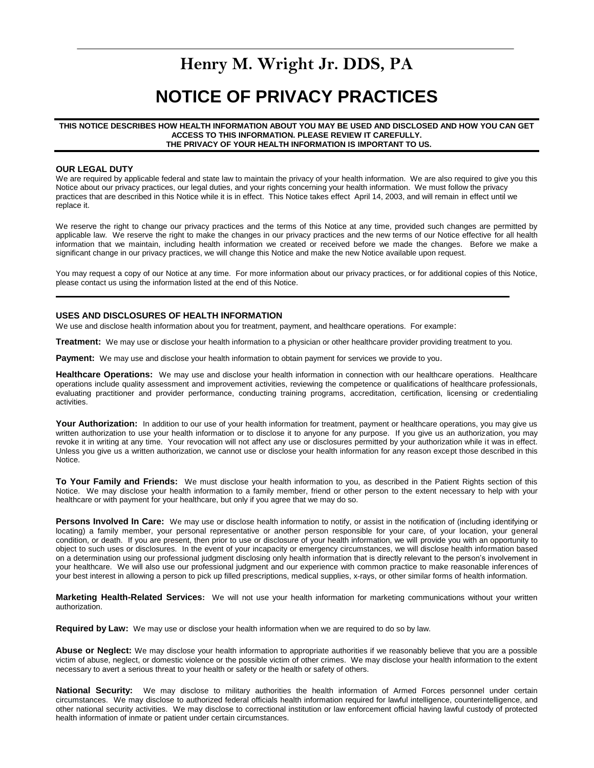# **Henry M. Wright Jr. DDS, PA NOTICE OF PRIVACY PRACTICES**

#### **THIS NOTICE DESCRIBES HOW HEALTH INFORMATION ABOUT YOU MAY BE USED AND DISCLOSED AND HOW YOU CAN GET ACCESS TO THIS INFORMATION. PLEASE REVIEW IT CAREFULLY. THE PRIVACY OF YOUR HEALTH INFORMATION IS IMPORTANT TO US.**

#### **OUR LEGAL DUTY**

We are required by applicable federal and state law to maintain the privacy of your health information. We are also required to give you this Notice about our privacy practices, our legal duties, and your rights concerning your health information. We must follow the privacy practices that are described in this Notice while it is in effect. This Notice takes effect April 14, 2003, and will remain in effect until we replace it.

We reserve the right to change our privacy practices and the terms of this Notice at any time, provided such changes are permitted by applicable law. We reserve the right to make the changes in our privacy practices and the new terms of our Notice effective for all health information that we maintain, including health information we created or received before we made the changes. Before we make a significant change in our privacy practices, we will change this Notice and make the new Notice available upon request.

You may request a copy of our Notice at any time. For more information about our privacy practices, or for additional copies of this Notice, please contact us using the information listed at the end of this Notice.

### **USES AND DISCLOSURES OF HEALTH INFORMATION**

We use and disclose health information about you for treatment, payment, and healthcare operations. For example:

**Treatment:** We may use or disclose your health information to a physician or other healthcare provider providing treatment to you.

**Payment:** We may use and disclose your health information to obtain payment for services we provide to you.

Healthcare Operations: We may use and disclose your health information in connection with our healthcare operations. Healthcare operations include quality assessment and improvement activities, reviewing the competence or qualifications of healthcare professionals, evaluating practitioner and provider performance, conducting training programs, accreditation, certification, licensing or credentialing activities.

Your Authorization: In addition to our use of your health information for treatment, payment or healthcare operations, you may give us written authorization to use your health information or to disclose it to anyone for any purpose. If you give us an authorization, you may revoke it in writing at any time. Your revocation will not affect any use or disclosures permitted by your authorization while it was in effect. Unless you give us a written authorization, we cannot use or disclose your health information for any reason except those described in this Notice.

**To Your Family and Friends:** We must disclose your health information to you, as described in the Patient Rights section of this Notice. We may disclose your health information to a family member, friend or other person to the extent necessary to help with your healthcare or with payment for your healthcare, but only if you agree that we may do so.

Persons Involved In Care: We may use or disclose health information to notify, or assist in the notification of (including identifying or locating) a family member, your personal representative or another person responsible for your care, of your location, your general condition, or death. If you are present, then prior to use or disclosure of your health information, we will provide you with an opportunity to object to such uses or disclosures. In the event of your incapacity or emergency circumstances, we will disclose health information based on a determination using our professional judgment disclosing only health information that is directly relevant to the person's involvement in your healthcare. We will also use our professional judgment and our experience with common practice to make reasonable inferences of your best interest in allowing a person to pick up filled prescriptions, medical supplies, x-rays, or other similar forms of health information.

**Marketing Health-Related Services:** We will not use your health information for marketing communications without your written authorization.

**Required by Law:** We may use or disclose your health information when we are required to do so by law.

**Abuse or Neglect:** We may disclose your health information to appropriate authorities if we reasonably believe that you are a possible victim of abuse, neglect, or domestic violence or the possible victim of other crimes. We may disclose your health information to the extent necessary to avert a serious threat to your health or safety or the health or safety of others.

**National Security:** We may disclose to military authorities the health information of Armed Forces personnel under certain circumstances. We may disclose to authorized federal officials health information required for lawful intelligence, counterintelligence, and other national security activities. We may disclose to correctional institution or law enforcement official having lawful custody of protected health information of inmate or patient under certain circumstances.